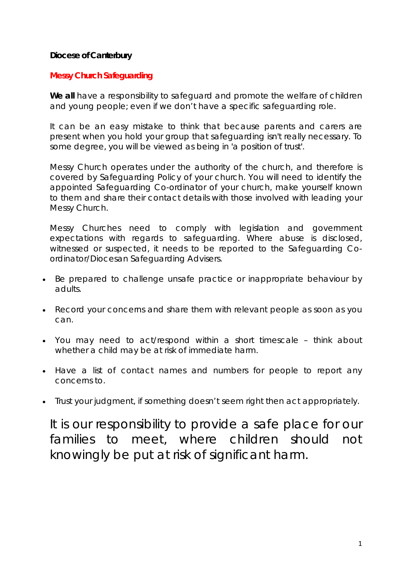# **Diocese of Canterbury**

# **Messy Church Safeguarding**

**We all** have a responsibility to safeguard and promote the welfare of children and young people; even if we don't have a specific safeguarding role.

It can be an easy mistake to think that because parents and carers are present when you hold your group that safeguarding isn't really necessary. To some degree, you will be viewed as being in 'a position of trust'.

Messy Church operates under the authority of the church, and therefore is covered by Safeguarding Policy of your church. You will need to identify the appointed Safeguarding Co-ordinator of your church, make yourself known to them and share their contact details with those involved with leading your Messy Church.

Messy Churches need to comply with legislation and government expectations with regards to safeguarding. Where abuse is disclosed, witnessed or suspected, it needs to be reported to the Safeguarding Coordinator/Diocesan Safeguarding Advisers.

- Be prepared to challenge unsafe practice or inappropriate behaviour by adults.
- Record your concerns and share them with relevant people as soon as you can.
- You may need to act/respond within a short timescale think about whether a child may be at risk of immediate harm.
- Have a list of contact names and numbers for people to report any concerns to.
- Trust your judgment, if something doesn't seem right then act appropriately.

It is our responsibility to provide a safe place for our families to meet, where children should not knowingly be put at risk of significant harm.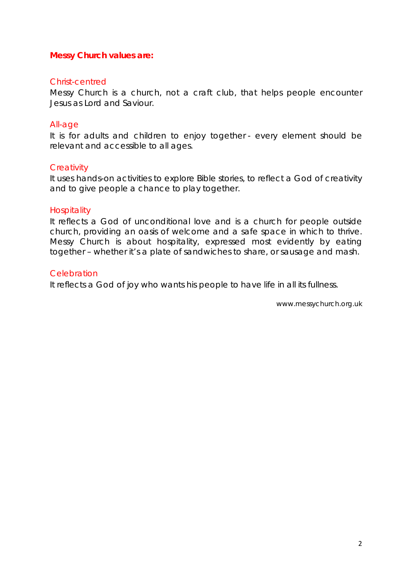## **Messy Church values are:**

#### Christ-centred

Messy Church is a church, not a craft club, that helps people encounter Jesus as Lord and Saviour.

#### All-age

It is for adults and children to enjoy together - every element should be relevant and accessible to all ages.

#### **Creativity**

It uses hands-on activities to explore Bible stories, to reflect a God of creativity and to give people a chance to play together.

## **Hospitality**

It reflects a God of unconditional love and is a church for people outside church, providing an oasis of welcome and a safe space in which to thrive. Messy Church is about hospitality, expressed most evidently by eating together – whether it's a plate of sandwiches to share, or sausage and mash.

## **Celebration**

It reflects a God of joy who wants his people to have life in all its fullness.

*www.messychurch.org.uk*